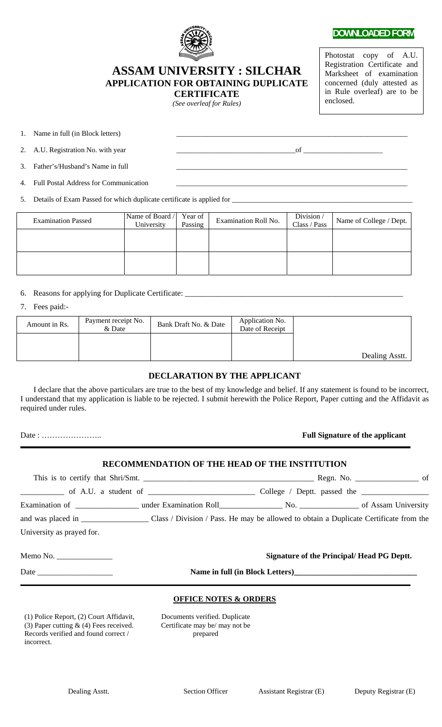

## **DOWNLOADED FORM**

Photostat copy of A.U. Registration Certificate and Marksheet of examination concerned (duly attested as in Rule overleaf) are to be enclosed.

# **ASSAM UNIVERSITY : SILCHAR APPLICATION FOR OBTAINING DUPLICATE CERTIFICATE**

*(See overleaf for Rules)* 

1. Name in full (in Block letters)

2. A.U. Registration No. with year \_\_\_\_\_\_\_\_\_\_\_\_\_\_\_\_\_\_\_\_\_\_\_\_\_\_\_\_\_\_\_\_\_of \_\_\_\_\_\_\_\_\_\_\_\_\_\_\_\_\_\_\_\_\_\_

3. Father's/Husband's Name in full

4. Full Postal Address for Communication

5. Details of Exam Passed for which duplicate certificate is applied for \_\_\_\_\_\_\_\_\_\_\_\_\_\_

| <b>Examination Passed</b> | Name of Board /<br>University | Year of<br>Passing | Examination Roll No. | Division/<br>Class / Pass | Name of College / Dept. |
|---------------------------|-------------------------------|--------------------|----------------------|---------------------------|-------------------------|
|                           |                               |                    |                      |                           |                         |
|                           |                               |                    |                      |                           |                         |

6. Reasons for applying for Duplicate Certificate: \_\_\_\_\_\_\_\_\_\_\_\_\_\_\_\_\_\_\_\_\_\_\_\_\_\_\_\_\_\_\_\_\_\_\_\_\_\_\_\_\_\_\_\_\_\_\_\_\_\_\_\_\_\_\_

#### 7. Fees paid:-

| Amount in Rs. | Payment receipt No.<br>& Date | Bank Draft No. & Date | Application No.<br>Date of Receipt |                |
|---------------|-------------------------------|-----------------------|------------------------------------|----------------|
|               |                               |                       |                                    |                |
|               |                               |                       |                                    | Dealing Asstt. |

# **DECLARATION BY THE APPLICANT**

 I declare that the above particulars are true to the best of my knowledge and belief. If any statement is found to be incorrect, I understand that my application is liable to be rejected. I submit herewith the Police Report, Paper cutting and the Affidavit as required under rules.

# Date : ………………….. **Full Signature of the applicant**

### **RECOMMENDATION OF THE HEAD OF THE INSTITUTION**

|                                                                                                                                                                                                                                                                                                                                                                                                                         |                                                                   | Regn. No. $\_\_$ of                              |
|-------------------------------------------------------------------------------------------------------------------------------------------------------------------------------------------------------------------------------------------------------------------------------------------------------------------------------------------------------------------------------------------------------------------------|-------------------------------------------------------------------|--------------------------------------------------|
|                                                                                                                                                                                                                                                                                                                                                                                                                         |                                                                   |                                                  |
|                                                                                                                                                                                                                                                                                                                                                                                                                         | Examination of Texamination Roll No. No. 2012 of Assam University |                                                  |
|                                                                                                                                                                                                                                                                                                                                                                                                                         |                                                                   |                                                  |
| University as prayed for.                                                                                                                                                                                                                                                                                                                                                                                               |                                                                   |                                                  |
| Memo No. $\frac{1}{\sqrt{1-\frac{1}{2}}}\frac{1}{\sqrt{1-\frac{1}{2}}}\frac{1}{\sqrt{1-\frac{1}{2}}}\frac{1}{\sqrt{1-\frac{1}{2}}}\frac{1}{\sqrt{1-\frac{1}{2}}}\frac{1}{\sqrt{1-\frac{1}{2}}}\frac{1}{\sqrt{1-\frac{1}{2}}}\frac{1}{\sqrt{1-\frac{1}{2}}}\frac{1}{\sqrt{1-\frac{1}{2}}}\frac{1}{\sqrt{1-\frac{1}{2}}}\frac{1}{\sqrt{1-\frac{1}{2}}}\frac{1}{\sqrt{1-\frac{1}{2}}}\frac{1}{\sqrt{1-\frac{1}{2}}}\frac{$ |                                                                   | <b>Signature of the Principal/Head PG Deptt.</b> |

Date \_\_\_\_\_\_\_\_\_\_\_\_\_\_\_\_\_\_\_ **Name in full (in Block Letters)\_\_\_\_\_\_\_\_\_\_\_\_\_\_\_\_\_\_\_\_\_\_\_\_\_\_\_\_\_\_\_** 

#### **OFFICE NOTES & ORDERS**

(1) Police Report, (2) Court Affidavit, (3) Paper cutting & (4) Fees received. Records verified and found correct / incorrect.

Documents verified. Duplicate Certificate may be/ may not be prepared